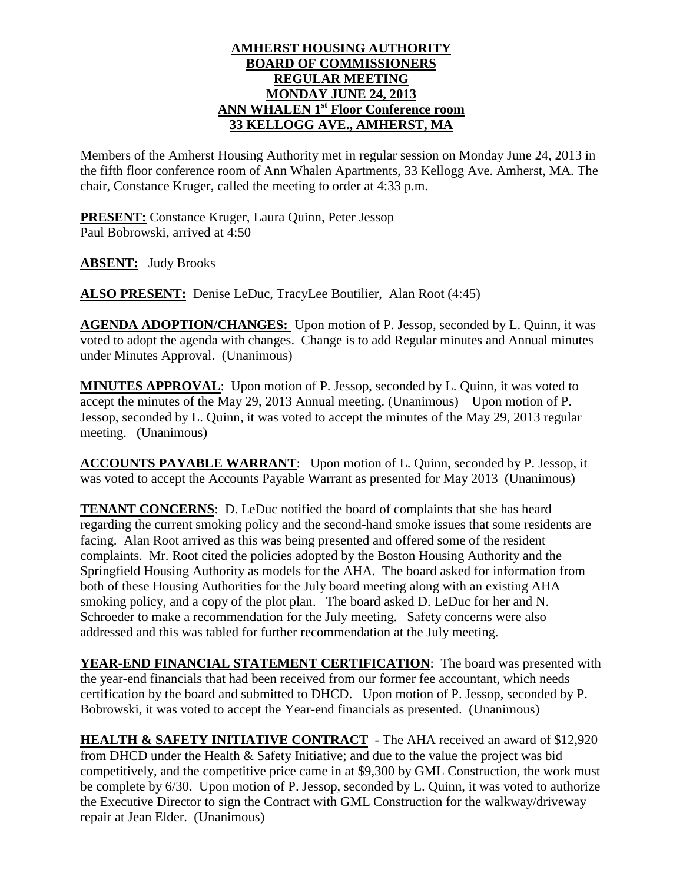## **AMHERST HOUSING AUTHORITY BOARD OF COMMISSIONERS REGULAR MEETING MONDAY JUNE 24, 2013 ANN WHALEN 1 st Floor Conference room 33 KELLOGG AVE., AMHERST, MA**

Members of the Amherst Housing Authority met in regular session on Monday June 24, 2013 in the fifth floor conference room of Ann Whalen Apartments, 33 Kellogg Ave. Amherst, MA. The chair, Constance Kruger, called the meeting to order at 4:33 p.m.

**PRESENT:** Constance Kruger, Laura Quinn, Peter Jessop Paul Bobrowski, arrived at 4:50

**ABSENT:** Judy Brooks

**ALSO PRESENT:** Denise LeDuc, TracyLee Boutilier, Alan Root (4:45)

**AGENDA ADOPTION/CHANGES:** Upon motion of P. Jessop, seconded by L. Quinn, it was voted to adopt the agenda with changes. Change is to add Regular minutes and Annual minutes under Minutes Approval. (Unanimous)

**MINUTES APPROVAL**: Upon motion of P. Jessop, seconded by L. Quinn, it was voted to accept the minutes of the May 29, 2013 Annual meeting. (Unanimous) Upon motion of P. Jessop, seconded by L. Quinn, it was voted to accept the minutes of the May 29, 2013 regular meeting. (Unanimous)

**ACCOUNTS PAYABLE WARRANT**: Upon motion of L. Quinn, seconded by P. Jessop, it was voted to accept the Accounts Payable Warrant as presented for May 2013 (Unanimous)

**TENANT CONCERNS**: D. LeDuc notified the board of complaints that she has heard regarding the current smoking policy and the second-hand smoke issues that some residents are facing. Alan Root arrived as this was being presented and offered some of the resident complaints. Mr. Root cited the policies adopted by the Boston Housing Authority and the Springfield Housing Authority as models for the AHA. The board asked for information from both of these Housing Authorities for the July board meeting along with an existing AHA smoking policy, and a copy of the plot plan. The board asked D. LeDuc for her and N. Schroeder to make a recommendation for the July meeting. Safety concerns were also addressed and this was tabled for further recommendation at the July meeting.

YEAR-END FINANCIAL STATEMENT CERTIFICATION: The board was presented with the year-end financials that had been received from our former fee accountant, which needs certification by the board and submitted to DHCD. Upon motion of P. Jessop, seconded by P. Bobrowski, it was voted to accept the Year-end financials as presented. (Unanimous)

**HEALTH & SAFETY INITIATIVE CONTRACT** - The AHA received an award of \$12,920 from DHCD under the Health & Safety Initiative; and due to the value the project was bid competitively, and the competitive price came in at \$9,300 by GML Construction, the work must be complete by 6/30. Upon motion of P. Jessop, seconded by L. Quinn, it was voted to authorize the Executive Director to sign the Contract with GML Construction for the walkway/driveway repair at Jean Elder. (Unanimous)